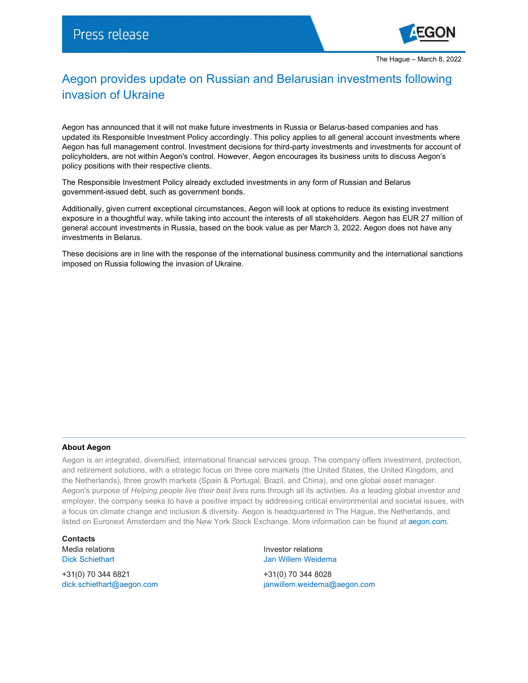

## Aegon provides update on Russian and Belarusian investments following invasion of Ukraine

Aegon has announced that it will not make future investments in Russia or Belarus-based companies and has updated its Responsible Investment Policy accordingly. This policy applies to all general account investments where Aegon has full management control. Investment decisions for third-party investments and investments for account of policyholders, are not within Aegon's control. However, Aegon encourages its business units to discuss Aegon's policy positions with their respective clients.

The Responsible Investment Policy already excluded investments in any form of Russian and Belarus government-issued debt, such as government bonds.

Additionally, given current exceptional circumstances, Aegon will look at options to reduce its existing investment exposure in a thoughtful way, while taking into account the interests of all stakeholders. Aegon has EUR 27 million of general account investments in Russia, based on the book value as per March 3, 2022. Aegon does not have any investments in Belarus.

These decisions are in line with the response of the international business community and the international sanctions imposed on Russia following the invasion of Ukraine.

## **About Aegon**

Aegon is an integrated, diversified, international financial services group. The company offers investment, protection, and retirement solutions, with a strategic focus on three core markets (the United States, the United Kingdom, and the Netherlands), three growth markets (Spain & Portugal, Brazil, and China), and one global asset manager. Aegon's purpose of *Helping people live their best lives* runs through all its activities. As a leading global investor and employer, the company seeks to have a positive impact by addressing critical environmental and societal issues, with a focus on climate change and inclusion & diversity. Aegon is headquartered in The Hague, the Netherlands, and listed on Euronext Amsterdam and the New York Stock Exchange. More information can be found at [aegon.com.](http://www.aegon.com/about/)

**Contacts**

+31(0) 70 344 8821 +31(0) 70 344 8028

Media relations Investor relations Dick Schiethart **Dick Schiethart** Jan Willem Weidema

[dick.schiethart@aegon.com](mailto:dick.schiethart@aegon.com) [janwillem.weidema@aegon.com](mailto:janwillem.weidema@aegon.com)